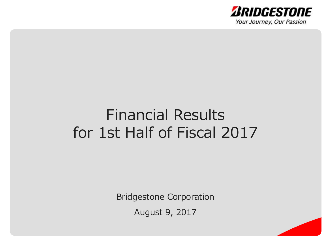

## Financial Results for 1st Half of Fiscal 2017

Bridgestone Corporation

August 9, 2017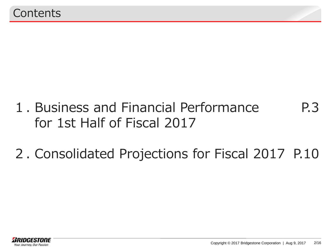- 1. Business and Financial Performance for 1st Half of Fiscal 2017 P.3
- 2. Consolidated Projections for Fiscal 2017 P.10

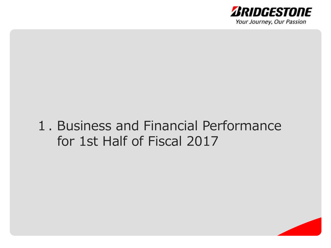

## 1. Business and Financial Performance for 1st Half of Fiscal 2017

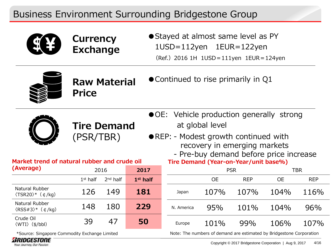## Business Environment Surrounding Bridgestone Group



**Currency Exchange**  ● Stayed at almost same level as PY ●1USD=112yen 1EUR=122yen (Ref.)2016 1H 1USD=111yen 1EUR=124yen



**Raw Material Price** ● Continued to rise primarily in Q1



**Tire Demand** (PSR/TBR)

- OE: Vehicle production generally strong at global level
- ●REP: Modest growth continued with recovery in emerging markets

| - Pre-buy demand before price increase |
|----------------------------------------|
| Tire Demand (Year-on-Year/unit base%)  |

| Average)                                                    |            | 2016       | 2017       |            |           | <b>PSR</b> |                                                                      | TBR        |
|-------------------------------------------------------------|------------|------------|------------|------------|-----------|------------|----------------------------------------------------------------------|------------|
|                                                             | $1st$ half | $2nd$ half | $1st$ half |            | <b>OE</b> | <b>REP</b> | <b>OE</b>                                                            | <b>REP</b> |
| Natural Rubber<br>$\langle$ TSR20 $\rangle$ * ( $\phi$ /kg) | 126        | 149        | 181        | Japan      | 107%      | 107%       | 104%                                                                 | 116%       |
| Natural Rubber<br>$\langle RSS\#3\rangle^*$ $(\phi/kq)$     | 148        | 180        | 229        | N. America | 95%       | 101%       | 104%                                                                 | 96%        |
| Crude Oil<br>$\langle WTI \rangle$ (\$/bbl)                 | 39         | 47         | 50         | Europe     | 101%      | 99%        | 106%                                                                 | 107%       |
| *Source: Singapore Commodity Exchange Limited               |            |            |            |            |           |            | Note: The numbers of demand are estimated by Bridgestone Corporation |            |

\*Source: Singapore Commodity Exchange Limited

**Market trend of natural rubber and crude oil** 



**(Average)**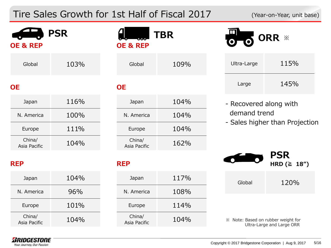## Tire Sales Growth for 1st Half of Fiscal 2017 (Year-on-Year, unit base)

*ARIDGESTONE* Your Journey, Our Passion

| <b>OE &amp; REP</b>    | <b>PSR</b> | <b>OE &amp; REP</b>    | <b>TBR</b> |                                    | ORR *                            |
|------------------------|------------|------------------------|------------|------------------------------------|----------------------------------|
| Global                 | 103%       | Global                 | 109%       | Ultra-Large                        | 115%                             |
| <b>OE</b>              |            | <b>OE</b>              |            | Large                              | 145%                             |
| Japan                  | 116%       | Japan                  | 104%       | - Recovered along with             |                                  |
| N. America             | 100%       | N. America             | 104%       | demand trend                       |                                  |
| Europe                 | 111%       | Europe                 | 104%       |                                    | - Sales higher than Projection   |
| China/<br>Asia Pacific | 104%       | China/<br>Asia Pacific | 162%       |                                    |                                  |
| <b>REP</b>             |            | <b>REP</b>             |            |                                    | <b>PSR</b><br>HRD $( \geq 18'')$ |
| Japan                  | 104%       | Japan                  | 117%       | Global                             | 120%                             |
| N. America             | 96%        | N. America             | 108%       |                                    |                                  |
| Europe                 | 101%       | Europe                 | 114%       |                                    |                                  |
| China/<br>Asia Pacific | 104%       | China/<br>Asia Pacific | 104%       | ※ Note: Based on rubber weight for | Ultra-Large and Large ORR        |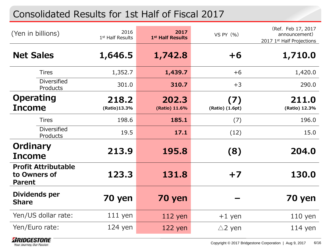## Consolidated Results for 1st Half of Fiscal 2017

| (Yen in billions)                                           | 2016<br>1 <sup>st</sup> Half Results | 2017<br>1st Half Results | VS PY $(% )$           | (Ref. Feb 17, 2017<br>announcement)<br>2017 1st Half Projections |
|-------------------------------------------------------------|--------------------------------------|--------------------------|------------------------|------------------------------------------------------------------|
| <b>Net Sales</b>                                            | 1,646.5                              | 1,742.8                  | $+6$                   | 1,710.0                                                          |
| <b>Tires</b>                                                | 1,352.7                              | 1,439.7                  | $+6$                   | 1,420.0                                                          |
| <b>Diversified</b><br>Products                              | 301.0                                | 310.7                    | $+3$                   | 290.0                                                            |
| <b>Operating</b><br><b>Income</b>                           | 218.2<br>(Ratio)13.3%                | 202.3<br>(Ratio) 11.6%   | (7)<br>(Ratio) (1.6pt) | 211.0<br>(Ratio) 12.3%                                           |
| <b>Tires</b>                                                | 198.6                                | 185.1                    | (7)                    | 196.0                                                            |
| <b>Diversified</b><br>Products                              | 19.5                                 | 17.1                     | (12)                   | 15.0                                                             |
| Ordinary<br><b>Income</b>                                   | 213.9                                | 195.8                    | (8)                    | 204.0                                                            |
| <b>Profit Attributable</b><br>to Owners of<br><b>Parent</b> | 123.3                                | 131.8                    | $+7$                   | 130.0                                                            |
| Dividends per<br><b>Share</b>                               | 70 yen                               | 70 yen                   |                        | 70 yen                                                           |
| Yen/US dollar rate:                                         | $111$ yen                            | $112$ yen                | $+1$ yen               | $110$ yen                                                        |
| Yen/Euro rate:                                              | $124$ yen                            | $122$ yen                | $\triangle$ 2 yen      | $114$ yen                                                        |

*BRIDGESTONE* Your Journey, Our Passion

Copyright © 2017 Bridgestone Corporation | Aug 9, 2017 6/16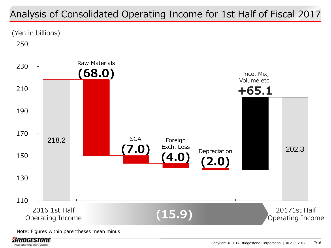## Analysis of Consolidated Operating Income for 1st Half of Fiscal 2017

(Yen in billions)



Note: Figures within parentheses mean minus

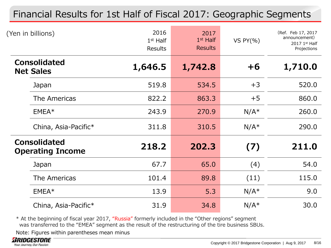## Financial Results for 1st Half of Fiscal 2017: Geographic Segments

| (Yen in billions)                              | 2016<br>$1st$ Half<br><b>Results</b> | 2017<br>$1st$ Half<br><b>Results</b> | VS $PY(\% )$ | (Ref. Feb 17, 2017<br>announcement)<br>2017 1st Half<br>Projections |
|------------------------------------------------|--------------------------------------|--------------------------------------|--------------|---------------------------------------------------------------------|
| <b>Consolidated</b><br><b>Net Sales</b>        | 1,646.5                              | 1,742.8                              | $+6$         | 1,710.0                                                             |
| Japan                                          | 519.8                                | 534.5                                | $+3$         | 520.0                                                               |
| The Americas                                   | 822.2                                | 863.3                                | $+5$         | 860.0                                                               |
| $EMEA*$                                        | 243.9                                | 270.9                                | $N/A^*$      | 260.0                                                               |
| China, Asia-Pacific*                           | 311.8                                | 310.5                                | $N/A^*$      | 290.0                                                               |
| <b>Consolidated</b><br><b>Operating Income</b> | 218.2                                | 202.3                                | (7)          | 211.0                                                               |
| Japan                                          | 67.7                                 | 65.0                                 | (4)          | 54.0                                                                |
| The Americas                                   | 101.4                                | 89.8                                 | (11)         | 115.0                                                               |
| $EMEA*$                                        | 13.9                                 | 5.3                                  | $N/A^*$      | 9.0                                                                 |
| China, Asia-Pacific*                           | 31.9                                 | 34.8                                 | $N/A^*$      | 30.0                                                                |

\* At the beginning of fiscal year 2017, "Russia" formerly included in the "Other regions" segment was transferred to the "EMEA" segment as the result of the restructuring of the tire business SBUs.

Note: Figures within parentheses mean minus

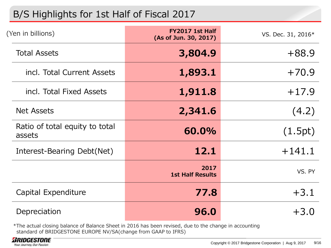## B/S Highlights for 1st Half of Fiscal 2017

| (Yen in billions)                        | FY2017 1st Half<br>(As of Jun. 30, 2017) | VS. Dec. 31, 2016* |
|------------------------------------------|------------------------------------------|--------------------|
| <b>Total Assets</b>                      | 3,804.9                                  | $+88.9$            |
| incl. Total Current Assets               | 1,893.1                                  | $+70.9$            |
| incl. Total Fixed Assets                 | 1,911.8                                  | $+17.9$            |
| <b>Net Assets</b>                        | 2,341.6                                  | (4.2)              |
| Ratio of total equity to total<br>assets | 60.0%                                    | (1.5pt)            |
| Interest-Bearing Debt(Net)               | 12.1                                     | $+141.1$           |
|                                          | 2017<br><b>1st Half Results</b>          | VS. PY             |
| Capital Expenditure                      | 77.8                                     | $+3.1$             |
| Depreciation                             | 96.0                                     | $+3.0$             |

\*The actual closing balance of Balance Sheet in 2016 has been revised, due to the change in accounting standard of BRIDGESTONE EUROPE NV/SA(change from GAAP to IFRS)

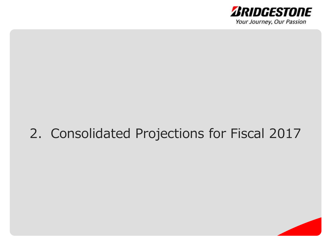

## 2. Consolidated Projections for Fiscal 2017

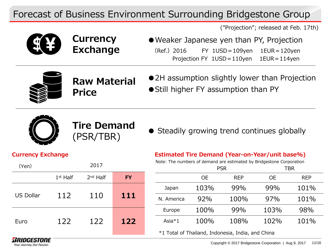## Forecast of Business Environment Surrounding Bridgestone Group

("Projection"; released at Feb. 17th)



**Currency Exchange** 

● Weaker Japanese yen than PY, Projection (Ref.)2016 FY 1USD=109yen 1EUR=120yen Projection FY 1USD=110yen 1EUR=114yen



**Raw Material Price**

● 2H assumption slightly lower than Projection ● Still higher FY assumption than PY



**Tire Demand**

THE DEFITRITE ● Steadily growing trend continues globally (PSR/TBR)

#### **Currency Exchange**

| (Yen)            |            | 2017       |           |
|------------------|------------|------------|-----------|
|                  | $1st$ Half | $2nd$ Half | <b>FY</b> |
| <b>US Dollar</b> | 112        | 110        | 111       |
| Euro             | 122        | 122        | 122       |

#### **Estimated Tire Demand (Year-on-Year/unit base%)**

Note: The numbers of demand are estimated by Bridgestone Corporation

|            |           | <b>PSR</b> |           | TBR        |
|------------|-----------|------------|-----------|------------|
|            | <b>OE</b> | <b>REP</b> | <b>OE</b> | <b>REP</b> |
| Japan      | 103%      | 99%        | 99%       | 101%       |
| N. America | 92%       | 100%       | 97%       | 101%       |
| Europe     | 100%      | 99%        | 103%      | 98%        |
| Asia $*1$  | 100%      | 108%       | 102%      | 101%       |

\*1 Total of Thailand, Indonesia, India, and China

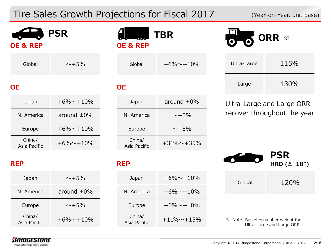## Tire Sales Growth Projections for Fiscal 2017 (Year-on-Year, unit base)

| <b>OE &amp; REP</b>    | <b>PSR</b>       |  | <b>TBR</b><br><b>OE &amp; REP</b> |                    | ORR ※ |                                    |                                  |  |
|------------------------|------------------|--|-----------------------------------|--------------------|-------|------------------------------------|----------------------------------|--|
| Global                 | $\sim +5\%$      |  | Global                            | $+6\% + 10\%$      |       | Ultra-Large                        | 115%                             |  |
| <b>OE</b>              |                  |  | <b>OE</b>                         |                    |       | Large                              | 130%                             |  |
| Japan                  | $+6\% + 10\%$    |  | Japan                             | around $\pm 0\%$   |       |                                    | Ultra-Large and Large ORR        |  |
| N. America             | around $\pm 0\%$ |  | $\sim +5\%$<br>N. America         |                    |       |                                    | recover throughout the year      |  |
| Europe                 | $+6\% + 10\%$    |  | Europe                            | $\sim +5\%$        |       |                                    |                                  |  |
| China/<br>Asia Pacific | $+6\% + 10\%$    |  | China/<br>Asia Pacific            | $+31\% \sim +35\%$ |       |                                    |                                  |  |
| <b>REP</b>             |                  |  | <b>REP</b>                        |                    |       |                                    | <b>PSR</b><br>HRD ( $\geq 18$ ") |  |
| Japan                  | $\sim +5\%$      |  | Japan                             | $+6\% + 10\%$      |       | Global                             | 120%                             |  |
| N. America             | around $\pm 0\%$ |  | N. America                        | $+6\% + 10\%$      |       |                                    |                                  |  |
| Europe                 | $\sim +5\%$      |  | Europe                            | $+6\% + 10\%$      |       |                                    |                                  |  |
| China/<br>Asia Pacific | $+6\% + 10\%$    |  | China/<br>Asia Pacific            | $+11\% + 15\%$     |       | ※ Note: Based on rubber weight for | Ultra-Large and Large ORR        |  |

*ARIDGESTONE* Your Journey, Our Passion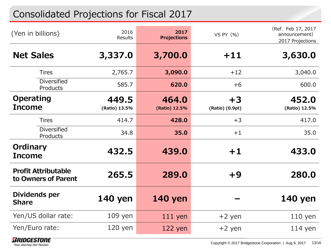## Consolidated Projections for Fiscal 2017

| (Yen in billions)                                 | 2016<br>Results        | 2017<br><b>Projections</b> | VS PY (%)               | (Ref. Feb 17, 2017<br>announcement)<br>2017 Projections |
|---------------------------------------------------|------------------------|----------------------------|-------------------------|---------------------------------------------------------|
| <b>Net Sales</b>                                  | 3,337.0                | 3,700.0                    | $+11$                   | 3,630.0                                                 |
| <b>Tires</b>                                      | 2,765.7                | 3,090.0                    | $+12$                   | 3,040.0                                                 |
| <b>Diversified</b><br>Products                    | 585.7                  | 620.0                      | $+6$                    | 600.0                                                   |
| <b>Operating</b><br><b>Income</b>                 | 449.5<br>(Ratio) 13.5% | 464.0<br>(Ratio) 12.5%     | $+3$<br>(Ratio) (0.9pt) | 452.0<br>(Ratio) 12.5%                                  |
| <b>Tires</b>                                      | 414.7                  | 428.0                      | $+3$                    | 417.0                                                   |
| <b>Diversified</b><br>Products                    | 34.8                   | 35.0                       | $+1$                    | 35.0                                                    |
| Ordinary<br><b>Income</b>                         | 432.5                  | 439.0                      | $+1$                    | 433.0                                                   |
| <b>Profit Attributable</b><br>to Owners of Parent | 265.5                  | 289.0                      | $+9$                    | 280.0                                                   |
| Dividends per<br><b>Share</b>                     | <b>140 yen</b>         | <b>140 yen</b>             |                         | <b>140 yen</b>                                          |
| Yen/US dollar rate:                               | $109$ yen              | $111$ yen                  | $+2$ yen                | $110$ yen                                               |
| Yen/Euro rate:                                    | $120$ yen              | $122$ yen                  | $+2$ yen                | $114$ yen                                               |

*BRIDGESTONE* Your Journey, Our Passion

Copyright © 2017 Bridgestone Corporation | Aug 9, 2017 13/16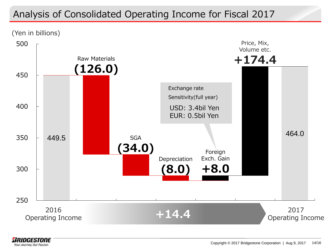## Analysis of Consolidated Operating Income for Fiscal 2017

(Yen in billions)



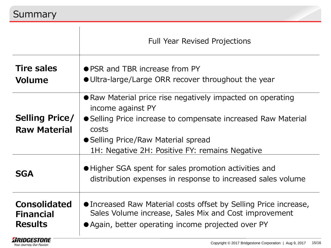Your Journey, Our Passion

|                                                           | <b>Full Year Revised Projections</b>                                                                                                                                                                                                               |
|-----------------------------------------------------------|----------------------------------------------------------------------------------------------------------------------------------------------------------------------------------------------------------------------------------------------------|
| <b>Tire sales</b><br><b>Volume</b>                        | ● PSR and TBR increase from PY<br>• Ultra-large/Large ORR recover throughout the year                                                                                                                                                              |
| <b>Selling Price/</b><br><b>Raw Material</b>              | • Raw Material price rise negatively impacted on operating<br>income against PY<br>• Selling Price increase to compensate increased Raw Material<br>costs<br>• Selling Price/Raw Material spread<br>1H: Negative 2H: Positive FY: remains Negative |
| <b>SGA</b>                                                | • Higher SGA spent for sales promotion activities and<br>distribution expenses in response to increased sales volume                                                                                                                               |
| <b>Consolidated</b><br><b>Financial</b><br><b>Results</b> | • Increased Raw Material costs offset by Selling Price increase,<br>Sales Volume increase, Sales Mix and Cost improvement<br>• Again, better operating income projected over PY                                                                    |
| <b>BRIDGESTONE</b>                                        |                                                                                                                                                                                                                                                    |